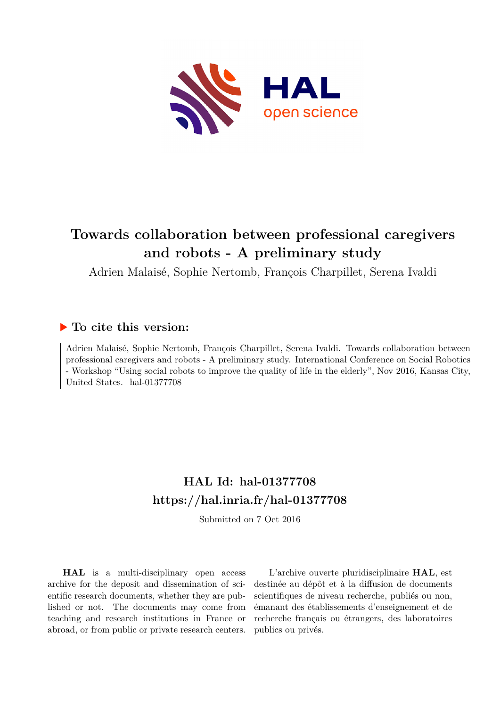

# **Towards collaboration between professional caregivers and robots - A preliminary study**

Adrien Malaisé, Sophie Nertomb, François Charpillet, Serena Ivaldi

# **To cite this version:**

Adrien Malaisé, Sophie Nertomb, François Charpillet, Serena Ivaldi. Towards collaboration between professional caregivers and robots - A preliminary study. International Conference on Social Robotics - Workshop "Using social robots to improve the quality of life in the elderly", Nov 2016, Kansas City, United States. hal-01377708

# **HAL Id: hal-01377708 <https://hal.inria.fr/hal-01377708>**

Submitted on 7 Oct 2016

**HAL** is a multi-disciplinary open access archive for the deposit and dissemination of scientific research documents, whether they are published or not. The documents may come from teaching and research institutions in France or abroad, or from public or private research centers.

L'archive ouverte pluridisciplinaire **HAL**, est destinée au dépôt et à la diffusion de documents scientifiques de niveau recherche, publiés ou non, émanant des établissements d'enseignement et de recherche français ou étrangers, des laboratoires publics ou privés.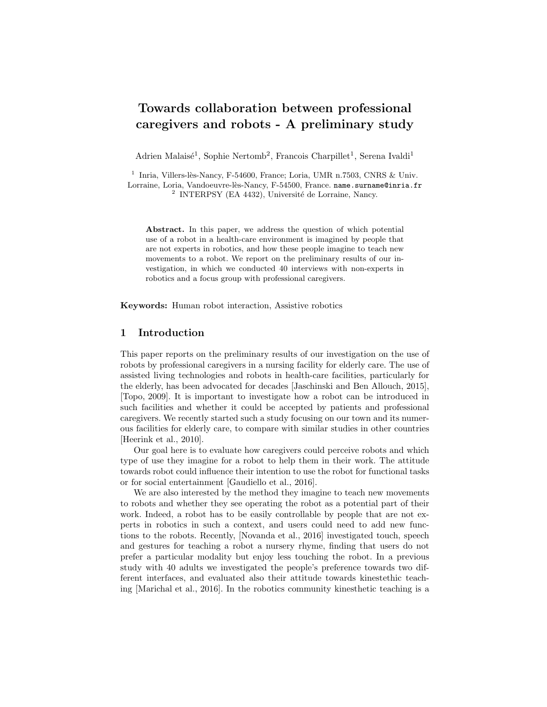# Towards collaboration between professional caregivers and robots - A preliminary study

Adrien Malaisé<sup>1</sup>, Sophie Nertomb<sup>2</sup>, Francois Charpillet<sup>1</sup>, Serena Ivaldi<sup>1</sup>

<sup>1</sup> Inria, Villers-lès-Nancy, F-54600, France; Loria, UMR n.7503, CNRS & Univ. Lorraine, Loria, Vandoeuvre-lès-Nancy, F-54500, France. name.surname@inria.fr <sup>2</sup> INTERPSY (EA 4432), Université de Lorraine, Nancy.

Abstract. In this paper, we address the question of which potential use of a robot in a health-care environment is imagined by people that are not experts in robotics, and how these people imagine to teach new movements to a robot. We report on the preliminary results of our investigation, in which we conducted 40 interviews with non-experts in robotics and a focus group with professional caregivers.

Keywords: Human robot interaction, Assistive robotics

### 1 Introduction

This paper reports on the preliminary results of our investigation on the use of robots by professional caregivers in a nursing facility for elderly care. The use of assisted living technologies and robots in health-care facilities, particularly for the elderly, has been advocated for decades [Jaschinski and Ben Allouch, 2015], [Topo, 2009]. It is important to investigate how a robot can be introduced in such facilities and whether it could be accepted by patients and professional caregivers. We recently started such a study focusing on our town and its numerous facilities for elderly care, to compare with similar studies in other countries [Heerink et al., 2010].

Our goal here is to evaluate how caregivers could perceive robots and which type of use they imagine for a robot to help them in their work. The attitude towards robot could influence their intention to use the robot for functional tasks or for social entertainment [Gaudiello et al., 2016].

We are also interested by the method they imagine to teach new movements to robots and whether they see operating the robot as a potential part of their work. Indeed, a robot has to be easily controllable by people that are not experts in robotics in such a context, and users could need to add new functions to the robots. Recently, [Novanda et al., 2016] investigated touch, speech and gestures for teaching a robot a nursery rhyme, finding that users do not prefer a particular modality but enjoy less touching the robot. In a previous study with 40 adults we investigated the people's preference towards two different interfaces, and evaluated also their attitude towards kinestethic teaching [Marichal et al., 2016]. In the robotics community kinesthetic teaching is a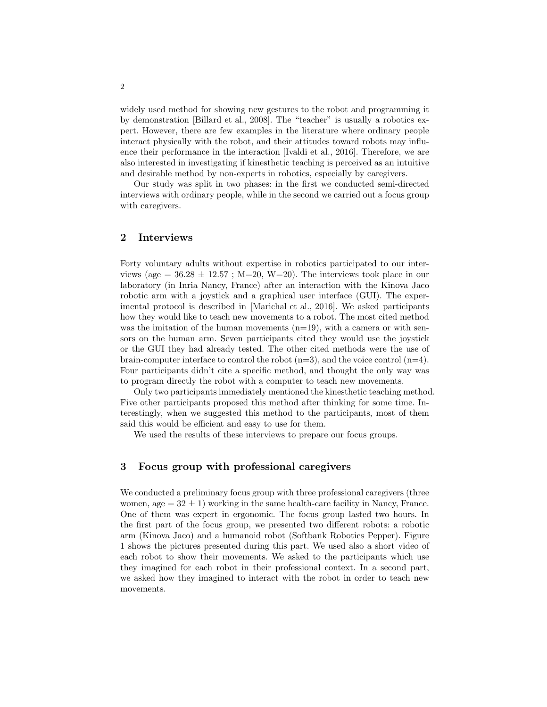widely used method for showing new gestures to the robot and programming it by demonstration [Billard et al., 2008]. The "teacher" is usually a robotics expert. However, there are few examples in the literature where ordinary people interact physically with the robot, and their attitudes toward robots may influence their performance in the interaction [Ivaldi et al., 2016]. Therefore, we are also interested in investigating if kinesthetic teaching is perceived as an intuitive and desirable method by non-experts in robotics, especially by caregivers.

Our study was split in two phases: in the first we conducted semi-directed interviews with ordinary people, while in the second we carried out a focus group with caregivers.

# 2 Interviews

Forty voluntary adults without expertise in robotics participated to our interviews (age =  $36.28 \pm 12.57$ ; M=20, W=20). The interviews took place in our laboratory (in Inria Nancy, France) after an interaction with the Kinova Jaco robotic arm with a joystick and a graphical user interface (GUI). The experimental protocol is described in [Marichal et al., 2016]. We asked participants how they would like to teach new movements to a robot. The most cited method was the imitation of the human movements  $(n=19)$ , with a camera or with sensors on the human arm. Seven participants cited they would use the joystick or the GUI they had already tested. The other cited methods were the use of brain-computer interface to control the robot  $(n=3)$ , and the voice control  $(n=4)$ . Four participants didn't cite a specific method, and thought the only way was to program directly the robot with a computer to teach new movements.

Only two participants immediately mentioned the kinesthetic teaching method. Five other participants proposed this method after thinking for some time. Interestingly, when we suggested this method to the participants, most of them said this would be efficient and easy to use for them.

We used the results of these interviews to prepare our focus groups.

# 3 Focus group with professional caregivers

We conducted a preliminary focus group with three professional caregivers (three women,  $\text{age} = 32 \pm 1$ ) working in the same health-care facility in Nancy, France. One of them was expert in ergonomic. The focus group lasted two hours. In the first part of the focus group, we presented two different robots: a robotic arm (Kinova Jaco) and a humanoid robot (Softbank Robotics Pepper). Figure 1 shows the pictures presented during this part. We used also a short video of each robot to show their movements. We asked to the participants which use they imagined for each robot in their professional context. In a second part, we asked how they imagined to interact with the robot in order to teach new movements.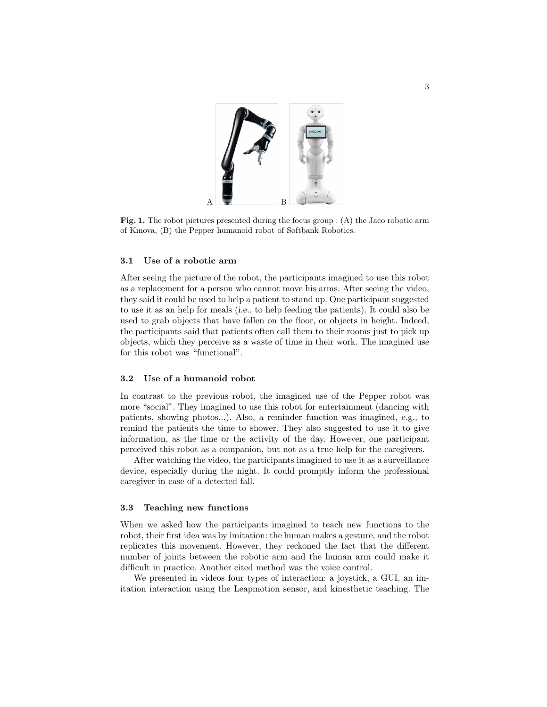

Fig. 1. The robot pictures presented during the focus group : (A) the Jaco robotic arm of Kinova, (B) the Pepper humanoid robot of Softbank Robotics.

#### 3.1 Use of a robotic arm

After seeing the picture of the robot, the participants imagined to use this robot as a replacement for a person who cannot move his arms. After seeing the video, they said it could be used to help a patient to stand up. One participant suggested to use it as an help for meals (i.e., to help feeding the patients). It could also be used to grab objects that have fallen on the floor, or objects in height. Indeed, the participants said that patients often call them to their rooms just to pick up objects, which they perceive as a waste of time in their work. The imagined use for this robot was "functional".

#### 3.2 Use of a humanoid robot

In contrast to the previous robot, the imagined use of the Pepper robot was more "social". They imagined to use this robot for entertainment (dancing with patients, showing photos...). Also, a reminder function was imagined, e.g., to remind the patients the time to shower. They also suggested to use it to give information, as the time or the activity of the day. However, one participant perceived this robot as a companion, but not as a true help for the caregivers.

After watching the video, the participants imagined to use it as a surveillance device, especially during the night. It could promptly inform the professional caregiver in case of a detected fall.

#### 3.3 Teaching new functions

When we asked how the participants imagined to teach new functions to the robot, their first idea was by imitation: the human makes a gesture, and the robot replicates this movement. However, they reckoned the fact that the different number of joints between the robotic arm and the human arm could make it difficult in practice. Another cited method was the voice control.

We presented in videos four types of interaction: a joystick, a GUI, an imitation interaction using the Leapmotion sensor, and kinesthetic teaching. The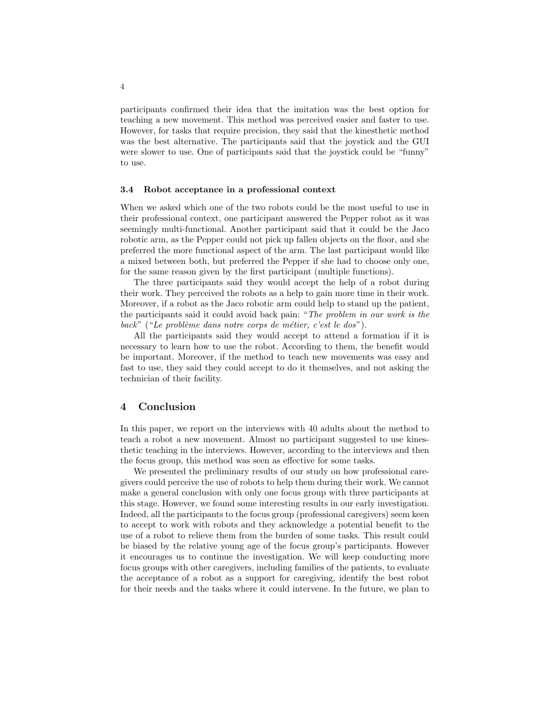participants confirmed their idea that the imitation was the best option for teaching a new movement. This method was perceived easier and faster to use. However, for tasks that require precision, they said that the kinesthetic method was the best alternative. The participants said that the joystick and the GUI were slower to use. One of participants said that the joystick could be "funny" to use.

#### 3.4 Robot acceptance in a professional context

When we asked which one of the two robots could be the most useful to use in their professional context, one participant answered the Pepper robot as it was seemingly multi-functional. Another participant said that it could be the Jaco robotic arm, as the Pepper could not pick up fallen objects on the floor, and she preferred the more functional aspect of the arm. The last participant would like a mixed between both, but preferred the Pepper if she had to choose only one, for the same reason given by the first participant (multiple functions).

The three participants said they would accept the help of a robot during their work. They perceived the robots as a help to gain more time in their work. Moreover, if a robot as the Jaco robotic arm could help to stand up the patient, the participants said it could avoid back pain: "The problem in our work is the back" ("Le problème dans notre corps de métier, c'est le dos").

All the participants said they would accept to attend a formation if it is necessary to learn how to use the robot. According to them, the benefit would be important. Moreover, if the method to teach new movements was easy and fast to use, they said they could accept to do it themselves, and not asking the technician of their facility.

### 4 Conclusion

In this paper, we report on the interviews with 40 adults about the method to teach a robot a new movement. Almost no participant suggested to use kinesthetic teaching in the interviews. However, according to the interviews and then the focus group, this method was seen as effective for some tasks.

We presented the preliminary results of our study on how professional caregivers could perceive the use of robots to help them during their work. We cannot make a general conclusion with only one focus group with three participants at this stage. However, we found some interesting results in our early investigation. Indeed, all the participants to the focus group (professional caregivers) seem keen to accept to work with robots and they acknowledge a potential benefit to the use of a robot to relieve them from the burden of some tasks. This result could be biased by the relative young age of the focus group's participants. However it encourages us to continue the investigation. We will keep conducting more focus groups with other caregivers, including families of the patients, to evaluate the acceptance of a robot as a support for caregiving, identify the best robot for their needs and the tasks where it could intervene. In the future, we plan to